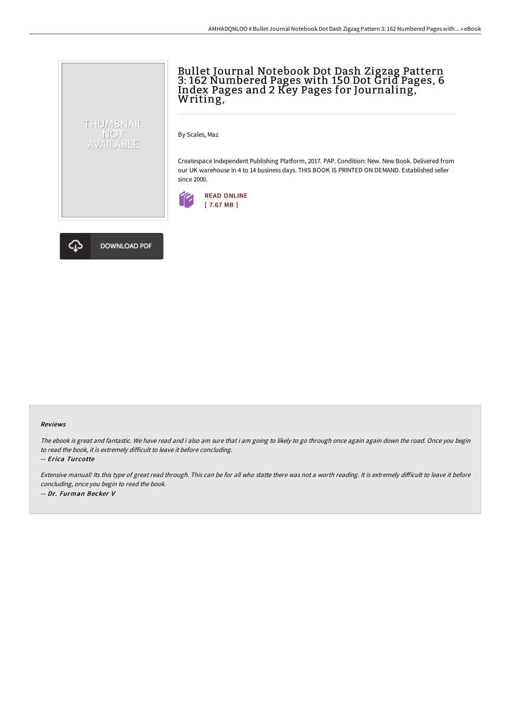

By Scales, Maz

Createspace Independent Publishing Platform, 2017. PAP. Condition: New. New Book. Delivered from our UK warehouse in 4 to 14 business days. THIS BOOK IS PRINTED ON DEMAND. Established seller since 2000.





THUMBNAIL NOT<br>AVAILABLE

## Reviews

The ebook is great and fantastic. We have read and i also am sure that i am going to likely to go through once again again down the road. Once you begin to read the book, it is extremely difficult to leave it before concluding.

-- Erica Turcotte

Extensive manual! Its this type of great read through. This can be for all who statte there was not a worth reading. It is extremely difficult to leave it before concluding, once you begin to read the book. -- Dr. Furman Becker V